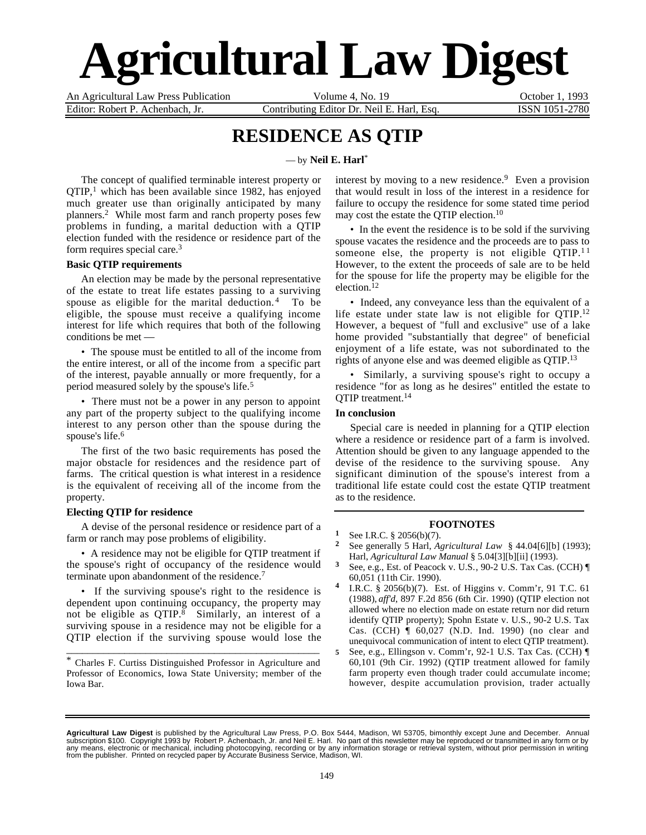# **Agricultural Law Digest**

An Agricultural Law Press Publication Volume 4, No. 19 Colombia Corober 1, 1993

Editor: Robert P. Achenbach, Jr. Contributing Editor Dr. Neil E. Harl, Esq. ISSN 1051-2780

## **RESIDENCE AS QTIP**

#### — by **Neil E. Harl**\*

 The concept of qualified terminable interest property or  $QTIP<sup>1</sup>$ , which has been available since 1982, has enjoyed much greater use than originally anticipated by many planners.2 While most farm and ranch property poses few problems in funding, a marital deduction with a QTIP election funded with the residence or residence part of the form requires special care.3

#### **Basic QTIP requirements**

An election may be made by the personal representative of the estate to treat life estates passing to a surviving spouse as eligible for the marital deduction. 4 To be eligible, the spouse must receive a qualifying income interest for life which requires that both of the following conditions be met —

• The spouse must be entitled to all of the income from the entire interest, or all of the income from a specific part of the interest, payable annually or more frequently, for a period measured solely by the spouse's life.5

• There must not be a power in any person to appoint any part of the property subject to the qualifying income interest to any person other than the spouse during the spouse's life.<sup>6</sup>

The first of the two basic requirements has posed the major obstacle for residences and the residence part of farms. The critical question is what interest in a residence is the equivalent of receiving all of the income from the property.

#### **Electing QTIP for residence**

A devise of the personal residence or residence part of a farm or ranch may pose problems of eligibility.

• A residence may not be eligible for QTIP treatment if the spouse's right of occupancy of the residence would terminate upon abandonment of the residence.<sup>7</sup>

• If the surviving spouse's right to the residence is dependent upon continuing occupancy, the property may not be eligible as QTIP.<sup>8</sup> Similarly, an interest of a surviving spouse in a residence may not be eligible for a QTIP election if the surviving spouse would lose the

\* Charles F. Curtiss Distinguished Professor in Agriculture and Professor of Economics, Iowa State University; member of the Iowa Bar.

\_\_\_\_\_\_\_\_\_\_\_\_\_\_\_\_\_\_\_\_\_\_\_\_\_\_\_\_\_\_\_\_\_\_\_\_\_\_\_\_\_\_\_\_\_\_\_\_

interest by moving to a new residence.<sup>9</sup> Even a provision that would result in loss of the interest in a residence for failure to occupy the residence for some stated time period may cost the estate the QTIP election.10

• In the event the residence is to be sold if the surviving spouse vacates the residence and the proceeds are to pass to someone else, the property is not eligible  $QTIP<sup>11</sup>$ However, to the extent the proceeds of sale are to be held for the spouse for life the property may be eligible for the election.12

• Indeed, any conveyance less than the equivalent of a life estate under state law is not eligible for QTIP.12 However, a bequest of "full and exclusive" use of a lake home provided "substantially that degree" of beneficial enjoyment of a life estate, was not subordinated to the rights of anyone else and was deemed eligible as QTIP.13

• Similarly, a surviving spouse's right to occupy a residence "for as long as he desires" entitled the estate to OTIP treatment.<sup>14</sup>

#### **In conclusion**

Special care is needed in planning for a QTIP election where a residence or residence part of a farm is involved. Attention should be given to any language appended to the devise of the residence to the surviving spouse. Any significant diminution of the spouse's interest from a traditional life estate could cost the estate QTIP treatment as to the residence.

#### **FOOTNOTES**

- **1** See I.R.C.  $\frac{8}{9}$  2056(b)(7).
- **<sup>2</sup>** See generally 5 Harl, *Agricultural Law* § 44.04[6][b] (1993); Harl, *Agricultural Law Manual* § 5.04[3][b][ii] (1993).
- **<sup>3</sup>** See, e.g., Est. of Peacock v. U.S., 90-2 U.S. Tax Cas. (CCH) ¶ 60,051 (11th Cir. 1990).
- **<sup>4</sup>** I.R.C. § 2056(b)(7). Est. of Higgins v. Comm'r, 91 T.C. 61 (1988), *aff'd*, 897 F.2d 856 (6th Cir. 1990) (QTIP election not allowed where no election made on estate return nor did return identify QTIP property); Spohn Estate v. U.S., 90-2 U.S. Tax Cas. (CCH) ¶ 60,027 (N.D. Ind. 1990) (no clear and unequivocal communication of intent to elect QTIP treatment).
- **5** See, e.g., Ellingson v. Comm'r, 92-1 U.S. Tax Cas. (CCH) ¶ 60,101 (9th Cir. 1992) (QTIP treatment allowed for family farm property even though trader could accumulate income; however, despite accumulation provision, trader actually

**Agricultural Law Digest** is published by the Agricultural Law Press, P.O. Box 5444, Madison, WI 53705, bimonthly except June and December. Annual<br>subscription \$100. Copyright 1993 by Robert P. Achenbach, Jr. and Neil E. from the publisher. Printed on recycled paper by Accurate Business Service, Madison, WI.